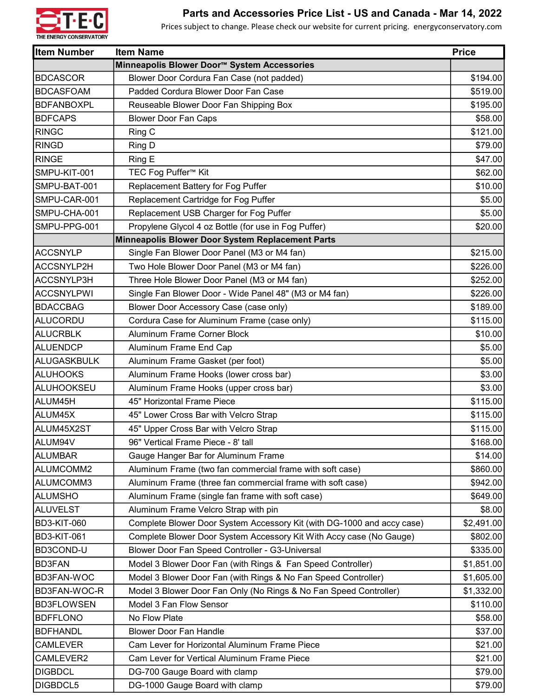

## Parts and Accessories Price List - US and Canada - Mar 14, 2022

Prices subject to change. Please check our website for current pricing. energyconservatory.com

| <b>Item Number</b> | <b>Item Name</b>                                                       | <b>Price</b> |
|--------------------|------------------------------------------------------------------------|--------------|
|                    | Minneapolis Blower Door™ System Accessories                            |              |
| <b>BDCASCOR</b>    | Blower Door Cordura Fan Case (not padded)                              | \$194.00     |
| <b>BDCASFOAM</b>   | Padded Cordura Blower Door Fan Case                                    | \$519.00     |
| <b>BDFANBOXPL</b>  | Reuseable Blower Door Fan Shipping Box                                 | \$195.00     |
| <b>BDFCAPS</b>     | <b>Blower Door Fan Caps</b>                                            | \$58.00      |
| <b>RINGC</b>       | Ring C                                                                 | \$121.00     |
| <b>RINGD</b>       | Ring D                                                                 | \$79.00      |
| <b>RINGE</b>       | Ring E                                                                 | \$47.00      |
| SMPU-KIT-001       | TEC Fog Puffer <sup>™</sup> Kit                                        | \$62.00      |
| SMPU-BAT-001       | Replacement Battery for Fog Puffer                                     | \$10.00      |
| SMPU-CAR-001       | Replacement Cartridge for Fog Puffer                                   | \$5.00       |
| SMPU-CHA-001       | Replacement USB Charger for Fog Puffer                                 | \$5.00       |
| SMPU-PPG-001       | Propylene Glycol 4 oz Bottle (for use in Fog Puffer)                   | \$20.00      |
|                    | Minneapolis Blower Door System Replacement Parts                       |              |
| <b>ACCSNYLP</b>    | Single Fan Blower Door Panel (M3 or M4 fan)                            | \$215.00     |
| ACCSNYLP2H         | Two Hole Blower Door Panel (M3 or M4 fan)                              | \$226.00     |
| ACCSNYLP3H         | Three Hole Blower Door Panel (M3 or M4 fan)                            | \$252.00     |
| <b>ACCSNYLPWI</b>  | Single Fan Blower Door - Wide Panel 48" (M3 or M4 fan)                 | \$226.00     |
| <b>BDACCBAG</b>    | Blower Door Accessory Case (case only)                                 | \$189.00     |
| ALUCORDU           | Cordura Case for Aluminum Frame (case only)                            | \$115.00     |
| <b>ALUCRBLK</b>    | <b>Aluminum Frame Corner Block</b>                                     | \$10.00      |
| <b>ALUENDCP</b>    | Aluminum Frame End Cap                                                 | \$5.00       |
| ALUGASKBULK        | Aluminum Frame Gasket (per foot)                                       | \$5.00       |
| <b>ALUHOOKS</b>    | Aluminum Frame Hooks (lower cross bar)                                 | \$3.00       |
| <b>ALUHOOKSEU</b>  | Aluminum Frame Hooks (upper cross bar)                                 | \$3.00       |
| ALUM45H            | 45" Horizontal Frame Piece                                             | \$115.00     |
| ALUM45X            | 45" Lower Cross Bar with Velcro Strap                                  | \$115.00     |
| ALUM45X2ST         | 45" Upper Cross Bar with Velcro Strap                                  | \$115.00     |
| ALUM94V            | 96" Vertical Frame Piece - 8' tall                                     | \$168.00     |
| <b>ALUMBAR</b>     | Gauge Hanger Bar for Aluminum Frame                                    | \$14.00      |
| ALUMCOMM2          | Aluminum Frame (two fan commercial frame with soft case)               | \$860.00     |
| ALUMCOMM3          | Aluminum Frame (three fan commercial frame with soft case)             | \$942.00     |
| ALUMSHO            | Aluminum Frame (single fan frame with soft case)                       | \$649.00     |
| ALUVELST           | Aluminum Frame Velcro Strap with pin                                   | \$8.00       |
| <b>BD3-KIT-060</b> | Complete Blower Door System Accessory Kit (with DG-1000 and accy case) | \$2,491.00   |
| <b>BD3-KIT-061</b> | Complete Blower Door System Accessory Kit With Accy case (No Gauge)    | \$802.00     |
| BD3COND-U          | Blower Door Fan Speed Controller - G3-Universal                        | \$335.00     |
| <b>BD3FAN</b>      | Model 3 Blower Door Fan (with Rings & Fan Speed Controller)            | \$1,851.00   |
| <b>BD3FAN-WOC</b>  | Model 3 Blower Door Fan (with Rings & No Fan Speed Controller)         | \$1,605.00   |
| BD3FAN-WOC-R       | Model 3 Blower Door Fan Only (No Rings & No Fan Speed Controller)      | \$1,332.00   |
| <b>BD3FLOWSEN</b>  | Model 3 Fan Flow Sensor                                                | \$110.00     |
| <b>BDFFLONO</b>    | No Flow Plate                                                          | \$58.00      |
| <b>BDFHANDL</b>    | <b>Blower Door Fan Handle</b>                                          | \$37.00      |
| <b>CAMLEVER</b>    | Cam Lever for Horizontal Aluminum Frame Piece                          | \$21.00      |
| CAMLEVER2          | Cam Lever for Vertical Aluminum Frame Piece                            | \$21.00      |
| <b>DIGBDCL</b>     | DG-700 Gauge Board with clamp                                          | \$79.00      |
| DIGBDCL5           | DG-1000 Gauge Board with clamp                                         | \$79.00      |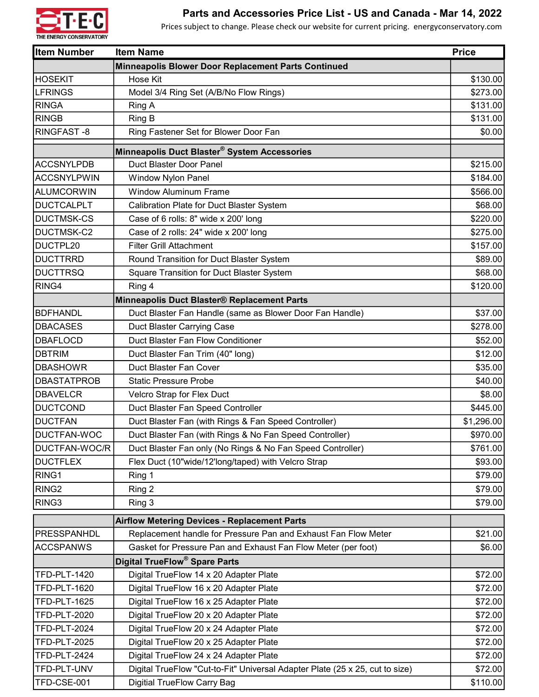

## Parts and Accessories Price List - US and Canada - Mar 14, 2022

Prices subject to change. Please check our website for current pricing. energyconservatory.com

| <b>Item Number</b>  | <b>Item Name</b>                                                             | <b>Price</b> |
|---------------------|------------------------------------------------------------------------------|--------------|
|                     | Minneapolis Blower Door Replacement Parts Continued                          |              |
| <b>HOSEKIT</b>      | Hose Kit                                                                     | \$130.00     |
| <b>LFRINGS</b>      | Model 3/4 Ring Set (A/B/No Flow Rings)                                       | \$273.00     |
| <b>RINGA</b>        | Ring A                                                                       | \$131.00     |
| <b>RINGB</b>        | Ring B                                                                       | \$131.00     |
| RINGFAST -8         | Ring Fastener Set for Blower Door Fan                                        | \$0.00       |
|                     | Minneapolis Duct Blaster® System Accessories                                 |              |
| ACCSNYLPDB          | Duct Blaster Door Panel                                                      | \$215.00     |
| ACCSNYLPWIN         | <b>Window Nylon Panel</b>                                                    | \$184.00     |
| <b>ALUMCORWIN</b>   | <b>Window Aluminum Frame</b>                                                 | \$566.00     |
| DUCTCALPLT          | Calibration Plate for Duct Blaster System                                    | \$68.00      |
| <b>DUCTMSK-CS</b>   | Case of 6 rolls: 8" wide x 200' long                                         | \$220.00     |
| DUCTMSK-C2          | Case of 2 rolls: 24" wide x 200' long                                        | \$275.00     |
| DUCTPL20            | <b>Filter Grill Attachment</b>                                               | \$157.00     |
| <b>DUCTTRRD</b>     | Round Transition for Duct Blaster System                                     | \$89.00      |
| <b>DUCTTRSQ</b>     | <b>Square Transition for Duct Blaster System</b>                             | \$68.00      |
| RING4               | Ring 4                                                                       | \$120.00     |
|                     | Minneapolis Duct Blaster® Replacement Parts                                  |              |
| BDFHANDL            | Duct Blaster Fan Handle (same as Blower Door Fan Handle)                     | \$37.00      |
| <b>DBACASES</b>     | Duct Blaster Carrying Case                                                   | \$278.00     |
| <b>DBAFLOCD</b>     | Duct Blaster Fan Flow Conditioner                                            | \$52.00      |
| <b>DBTRIM</b>       | Duct Blaster Fan Trim (40" long)                                             | \$12.00      |
| DBASHOWR            | Duct Blaster Fan Cover                                                       | \$35.00      |
| <b>DBASTATPROB</b>  | <b>Static Pressure Probe</b>                                                 | \$40.00      |
| <b>IDBAVELCR</b>    | Velcro Strap for Flex Duct                                                   | \$8.00       |
| <b>DUCTCOND</b>     | Duct Blaster Fan Speed Controller                                            | \$445.00     |
| DUCTFAN             | Duct Blaster Fan (with Rings & Fan Speed Controller)                         | \$1,296.00   |
| DUCTFAN-WOC         | Duct Blaster Fan (with Rings & No Fan Speed Controller)                      | \$970.00     |
| DUCTFAN-WOC/R       | Duct Blaster Fan only (No Rings & No Fan Speed Controller)                   | \$761.00     |
| <b>DUCTFLEX</b>     | Flex Duct (10"wide/12'long/taped) with Velcro Strap                          | \$93.00      |
| RING <sub>1</sub>   | Ring 1                                                                       | \$79.00      |
| RING <sub>2</sub>   | Ring 2                                                                       | \$79.00      |
| RING3               | Ring 3                                                                       | \$79.00      |
|                     | <b>Airflow Metering Devices - Replacement Parts</b>                          |              |
| PRESSPANHDL         | Replacement handle for Pressure Pan and Exhaust Fan Flow Meter               | \$21.00      |
| <b>ACCSPANWS</b>    | Gasket for Pressure Pan and Exhaust Fan Flow Meter (per foot)                | \$6.00       |
|                     | <b>Digital TrueFlow<sup>®</sup> Spare Parts</b>                              |              |
| <b>TFD-PLT-1420</b> | Digital TrueFlow 14 x 20 Adapter Plate                                       | \$72.00      |
| <b>TFD-PLT-1620</b> | Digital TrueFlow 16 x 20 Adapter Plate                                       | \$72.00      |
| <b>TFD-PLT-1625</b> | Digital TrueFlow 16 x 25 Adapter Plate                                       | \$72.00      |
| <b>TFD-PLT-2020</b> | Digital TrueFlow 20 x 20 Adapter Plate                                       | \$72.00      |
| <b>TFD-PLT-2024</b> | Digital TrueFlow 20 x 24 Adapter Plate                                       | \$72.00      |
| TFD-PLT-2025        | Digital TrueFlow 20 x 25 Adapter Plate                                       | \$72.00      |
| TFD-PLT-2424        | Digital TrueFlow 24 x 24 Adapter Plate                                       | \$72.00      |
| TFD-PLT-UNV         | Digital TrueFlow "Cut-to-Fit" Universal Adapter Plate (25 x 25, cut to size) | \$72.00      |
| TFD-CSE-001         | <b>Digitial TrueFlow Carry Bag</b>                                           | \$110.00     |